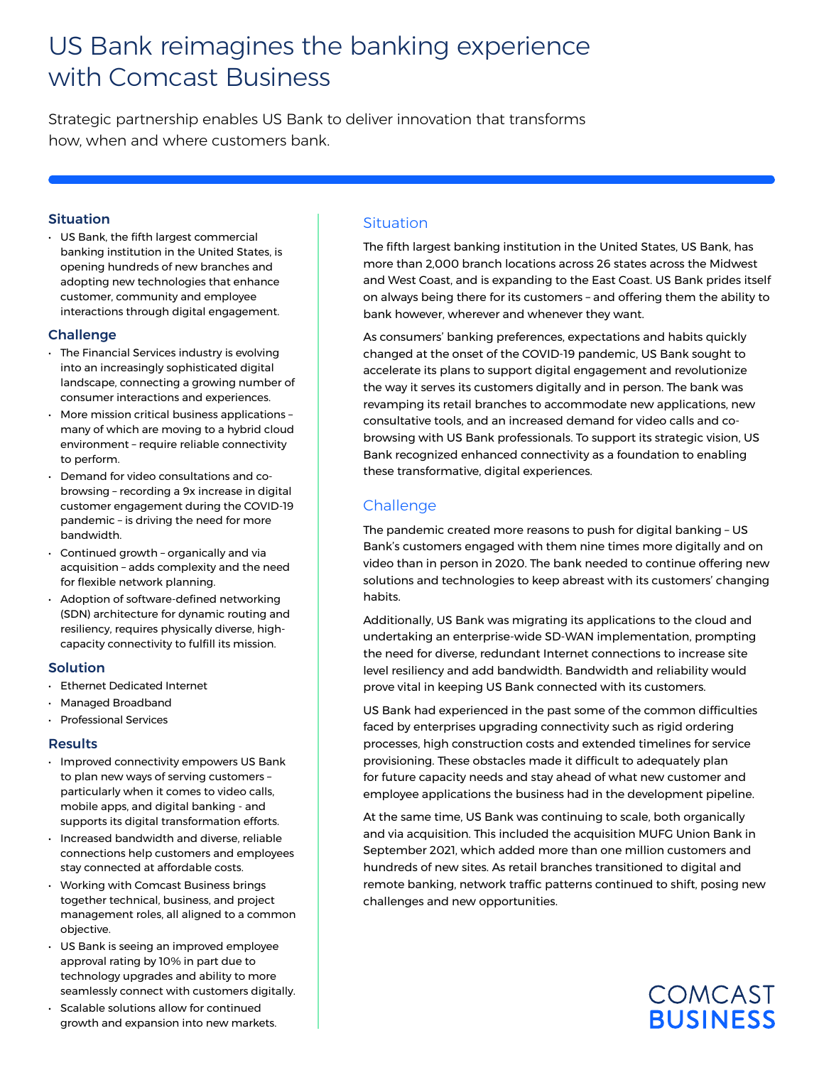# US Bank reimagines the banking experience with Comcast Business

Strategic partnership enables US Bank to deliver innovation that transforms how, when and where customers bank.

#### Situation

• US Bank, the fifth largest commercial banking institution in the United States, is opening hundreds of new branches and adopting new technologies that enhance customer, community and employee interactions through digital engagement.

#### Challenge

- The Financial Services industry is evolving into an increasingly sophisticated digital landscape, connecting a growing number of consumer interactions and experiences.
- More mission critical business applications many of which are moving to a hybrid cloud environment – require reliable connectivity to perform.
- Demand for video consultations and cobrowsing – recording a 9x increase in digital customer engagement during the COVID-19 pandemic – is driving the need for more bandwidth.
- Continued growth organically and via acquisition – adds complexity and the need for flexible network planning.
- Adoption of software-defined networking (SDN) architecture for dynamic routing and resiliency, requires physically diverse, highcapacity connectivity to fulfill its mission.

#### Solution

- Ethernet Dedicated Internet
- Managed Broadband
- Professional Services

## Results

- Improved connectivity empowers US Bank to plan new ways of serving customers – particularly when it comes to video calls, mobile apps, and digital banking - and supports its digital transformation efforts.
- Increased bandwidth and diverse, reliable connections help customers and employees stay connected at affordable costs.
- Working with Comcast Business brings together technical, business, and project management roles, all aligned to a common objective.
- US Bank is seeing an improved employee approval rating by 10% in part due to technology upgrades and ability to more seamlessly connect with customers digitally.
- Scalable solutions allow for continued growth and expansion into new markets.

## **Situation**

The fifth largest banking institution in the United States, US Bank, has more than 2,000 branch locations across 26 states across the Midwest and West Coast, and is expanding to the East Coast. US Bank prides itself on always being there for its customers – and offering them the ability to bank however, wherever and whenever they want.

As consumers' banking preferences, expectations and habits quickly changed at the onset of the COVID-19 pandemic, US Bank sought to accelerate its plans to support digital engagement and revolutionize the way it serves its customers digitally and in person. The bank was revamping its retail branches to accommodate new applications, new consultative tools, and an increased demand for video calls and cobrowsing with US Bank professionals. To support its strategic vision, US Bank recognized enhanced connectivity as a foundation to enabling these transformative, digital experiences.

## Challenge

The pandemic created more reasons to push for digital banking – US Bank's customers engaged with them nine times more digitally and on video than in person in 2020. The bank needed to continue offering new solutions and technologies to keep abreast with its customers' changing habits.

Additionally, US Bank was migrating its applications to the cloud and undertaking an enterprise-wide SD-WAN implementation, prompting the need for diverse, redundant Internet connections to increase site level resiliency and add bandwidth. Bandwidth and reliability would prove vital in keeping US Bank connected with its customers.

US Bank had experienced in the past some of the common difficulties faced by enterprises upgrading connectivity such as rigid ordering processes, high construction costs and extended timelines for service provisioning. These obstacles made it difficult to adequately plan for future capacity needs and stay ahead of what new customer and employee applications the business had in the development pipeline.

At the same time, US Bank was continuing to scale, both organically and via acquisition. This included the acquisition MUFG Union Bank in September 2021, which added more than one million customers and hundreds of new sites. As retail branches transitioned to digital and remote banking, network traffic patterns continued to shift, posing new challenges and new opportunities.

## **COMCAST BUSINESS**